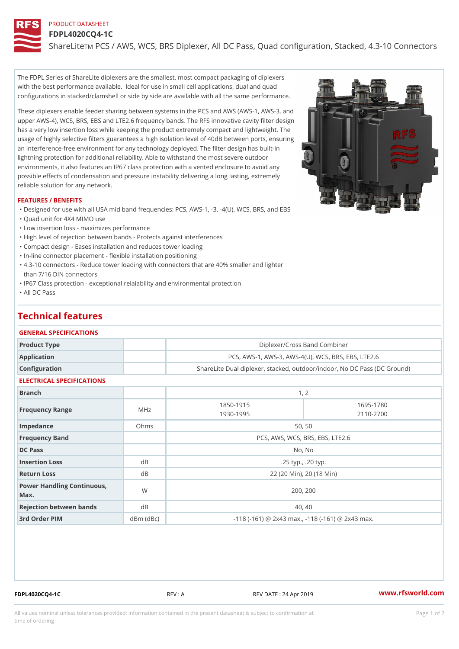PRODUCT DATASHEET FDPL4020CQ4-1C

ShareLim PCS / AWS, WCS, BRS Diplexer, All DC Pass, Quad configurat

The FDPL Series of ShareLite diplexers are the smallest, most compact packaging of diplexers with the best performance available. Ideal for use in small cell applications, dual and quad configurations in stacked/clamshell or side by side are available with all the same performance.

These diplexers enable feeder sharing between systems in the PCS and AWS (AWS-1, AWS-3, and upper AWS-4), WCS, BRS, EBS and LTE2.6 frequency bands. The RFS innovative cavity filter design has a very low insertion loss while keeping the product extremely compact and lightweight. The usage of highly selective filters guarantees a high isolation level of 40dB between ports, ensuring an interference-free environment for any technology deployed. The filter design has built-in lightning protection for additional reliability. Able to withstand the most severe outdoor environments, it also features an IP67 class protection with a vented enclosure to avoid any possible effects of condensation and pressure instability delivering a long lasting, extremely reliable solution for any network.

#### FEATURES / BENEFITS

"Designed for use with all USA mid band frequencies: PCS, AWS-1, -3, -4(U), WCS, BRS, and EBS

"Quad unit for 4X4 MIMO use

"Low insertion loss - maximizes performance

"High level of rejection between bands - Protects against interferences

"Compact design - Eases installation and reduces tower loading

"In-line connector placement - flexible installation positioning

4.3-10 connectors - Reduce tower loading with connectors that are 40% smaller and lighter " than 7/16 DIN connectors

"IP67 Class protection - exceptional relaiability and environmental protection

"All DC Pass

# Technical features

#### GENERAL SPECIFICATIONS

|               | Product Type | Diplexer/Cross Band Combiner                               |
|---------------|--------------|------------------------------------------------------------|
|               | Application  | PCS, AWS-1, AWS-3, AWS-4(U), WCS, BRS, EBS, LT             |
| Configuration |              | ShareLite Dual diplexer, stacked, outdoor/indoor, No DC Pa |

### ELECTRICAL SPECIFICATIONS

| <b>Branch</b>                        |               | 1, 2                                                         |                        |
|--------------------------------------|---------------|--------------------------------------------------------------|------------------------|
| Frequency Range                      | MHz           | 1850-1915<br>1930-1995                                       | 1695-1780<br>2110-2700 |
| Impedance                            | Ohms          | 50, 50                                                       |                        |
| Frequency Band                       |               | PCS, AWS, WCS, BRS, EBS, LTE2.6                              |                        |
| DC Pass                              |               | No, No                                                       |                        |
| Insertion Loss                       | d B           | .25 typ., .20 typ.                                           |                        |
| Return Loss                          | d B           | 22 (20 Min), 20 (18 Min)                                     |                        |
| Power Handling Continuous, W<br>Max. |               | 200, 200                                                     |                        |
| Rejection between bands              | d B           | 40, 40                                                       |                        |
| 3rd Order PIM                        | $dBm$ $(dBc)$ | $-118$ ( $-161$ ) @ 2x43 max., $-118$ ( $-161$ ) @ 2x43 max. |                        |

FDPL4020CQ4-1C REV : A REV DATE : 24 Apr 2019 [www.](https://www.rfsworld.com)rfsworld.com